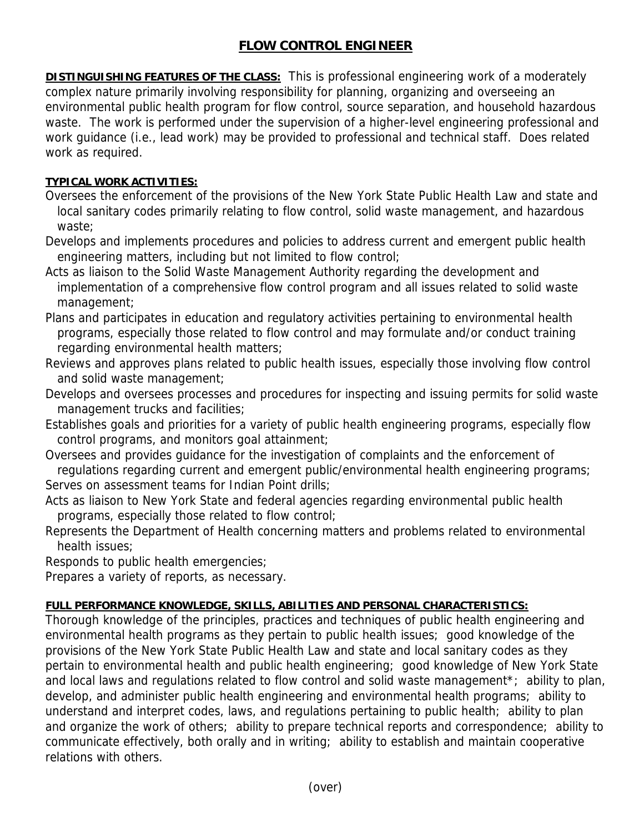## **FLOW CONTROL ENGINEER**

**DISTINGUISHING FEATURES OF THE CLASS:** This is professional engineering work of a moderately complex nature primarily involving responsibility for planning, organizing and overseeing an environmental public health program for flow control, source separation, and household hazardous waste. The work is performed under the supervision of a higher-level engineering professional and work guidance (i.e., lead work) may be provided to professional and technical staff. Does related work as required.

## **TYPICAL WORK ACTIVITIES:**

- Oversees the enforcement of the provisions of the New York State Public Health Law and state and local sanitary codes primarily relating to flow control, solid waste management, and hazardous waste;
- Develops and implements procedures and policies to address current and emergent public health engineering matters, including but not limited to flow control;
- Acts as liaison to the Solid Waste Management Authority regarding the development and implementation of a comprehensive flow control program and all issues related to solid waste management;
- Plans and participates in education and regulatory activities pertaining to environmental health programs, especially those related to flow control and may formulate and/or conduct training regarding environmental health matters;
- Reviews and approves plans related to public health issues, especially those involving flow control and solid waste management;
- Develops and oversees processes and procedures for inspecting and issuing permits for solid waste management trucks and facilities;
- Establishes goals and priorities for a variety of public health engineering programs, especially flow control programs, and monitors goal attainment;
- Oversees and provides guidance for the investigation of complaints and the enforcement of regulations regarding current and emergent public/environmental health engineering programs; Serves on assessment teams for Indian Point drills:
- Acts as liaison to New York State and federal agencies regarding environmental public health programs, especially those related to flow control;
- Represents the Department of Health concerning matters and problems related to environmental health issues;
- Responds to public health emergencies;

Prepares a variety of reports, as necessary.

## **FULL PERFORMANCE KNOWLEDGE, SKILLS, ABILITIES AND PERSONAL CHARACTERISTICS:**

Thorough knowledge of the principles, practices and techniques of public health engineering and environmental health programs as they pertain to public health issues; good knowledge of the provisions of the New York State Public Health Law and state and local sanitary codes as they pertain to environmental health and public health engineering; good knowledge of New York State and local laws and regulations related to flow control and solid waste management<sup>\*</sup>; ability to plan, develop, and administer public health engineering and environmental health programs; ability to understand and interpret codes, laws, and regulations pertaining to public health; ability to plan and organize the work of others; ability to prepare technical reports and correspondence; ability to communicate effectively, both orally and in writing; ability to establish and maintain cooperative relations with others.